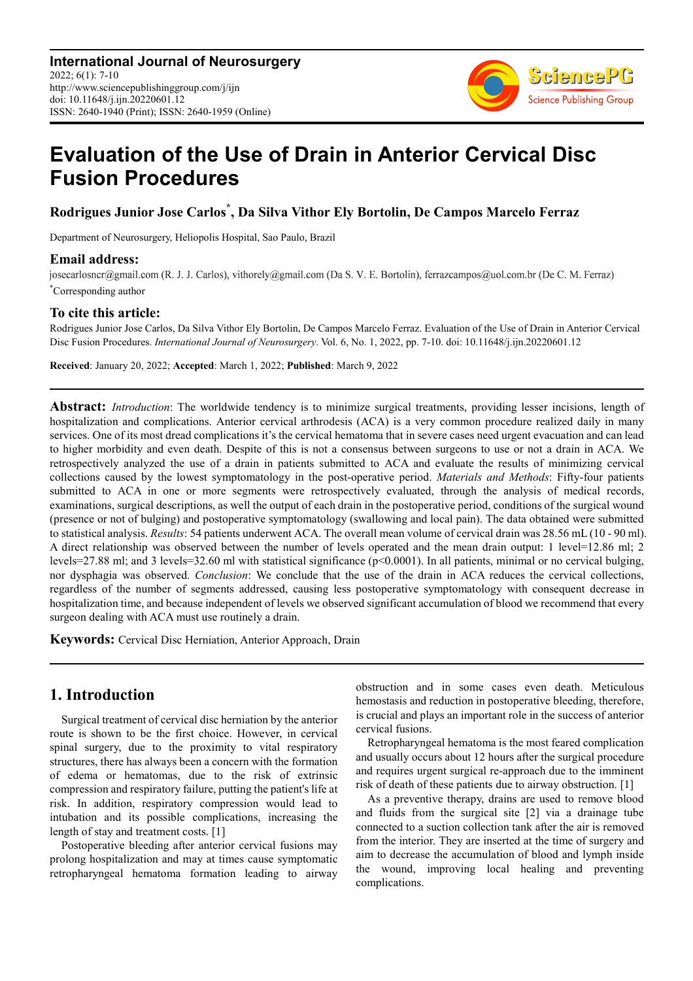

# **Evaluation of the Use of Drain in Anterior Cervical Disc Fusion Procedures**

**Rodrigues Junior Jose Carlos\* , Da Silva Vithor Ely Bortolin, De Campos Marcelo Ferraz** 

Department of Neurosurgery, Heliopolis Hospital, Sao Paulo, Brazil

#### **Email address:**

josecarlosncr@gmail.com (R. J. J. Carlos), vithorely@gmail.com (Da S. V. E. Bortolin), ferrazcampos@uol.com.br (De C. M. Ferraz) \*Corresponding author

#### **To cite this article:**

Rodrigues Junior Jose Carlos, Da Silva Vithor Ely Bortolin, De Campos Marcelo Ferraz. Evaluation of the Use of Drain in Anterior Cervical Disc Fusion Procedures. *International Journal of Neurosurgery*. Vol. 6, No. 1, 2022, pp. 7-10. doi: 10.11648/j.ijn.20220601.12

**Received**: January 20, 2022; **Accepted**: March 1, 2022; **Published**: March 9, 2022

**Abstract:** *Introduction*: The worldwide tendency is to minimize surgical treatments, providing lesser incisions, length of hospitalization and complications. Anterior cervical arthrodesis (ACA) is a very common procedure realized daily in many services. One of its most dread complications it's the cervical hematoma that in severe cases need urgent evacuation and can lead to higher morbidity and even death. Despite of this is not a consensus between surgeons to use or not a drain in ACA. We retrospectively analyzed the use of a drain in patients submitted to ACA and evaluate the results of minimizing cervical collections caused by the lowest symptomatology in the post-operative period. *Materials and Methods*: Fifty-four patients submitted to ACA in one or more segments were retrospectively evaluated, through the analysis of medical records, examinations, surgical descriptions, as well the output of each drain in the postoperative period, conditions of the surgical wound (presence or not of bulging) and postoperative symptomatology (swallowing and local pain). The data obtained were submitted to statistical analysis. *Results*: 54 patients underwent ACA. The overall mean volume of cervical drain was 28.56 mL (10 - 90 ml). A direct relationship was observed between the number of levels operated and the mean drain output: 1 level=12.86 ml; 2 levels=27.88 ml; and 3 levels=32.60 ml with statistical significance (p<0.0001). In all patients, minimal or no cervical bulging, nor dysphagia was observed. *Conclusion*: We conclude that the use of the drain in ACA reduces the cervical collections, regardless of the number of segments addressed, causing less postoperative symptomatology with consequent decrease in hospitalization time, and because independent of levels we observed significant accumulation of blood we recommend that every surgeon dealing with ACA must use routinely a drain.

**Keywords:** Cervical Disc Herniation, Anterior Approach, Drain

## **1. Introduction**

Surgical treatment of cervical disc herniation by the anterior route is shown to be the first choice. However, in cervical spinal surgery, due to the proximity to vital respiratory structures, there has always been a concern with the formation of edema or hematomas, due to the risk of extrinsic compression and respiratory failure, putting the patient's life at risk. In addition, respiratory compression would lead to intubation and its possible complications, increasing the length of stay and treatment costs. [1]

Postoperative bleeding after anterior cervical fusions may prolong hospitalization and may at times cause symptomatic retropharyngeal hematoma formation leading to airway obstruction and in some cases even death. Meticulous hemostasis and reduction in postoperative bleeding, therefore, is crucial and plays an important role in the success of anterior cervical fusions.

Retropharyngeal hematoma is the most feared complication and usually occurs about 12 hours after the surgical procedure and requires urgent surgical re-approach due to the imminent risk of death of these patients due to airway obstruction. [1]

As a preventive therapy, drains are used to remove blood and fluids from the surgical site [2] via a drainage tube connected to a suction collection tank after the air is removed from the interior. They are inserted at the time of surgery and aim to decrease the accumulation of blood and lymph inside the wound, improving local healing and preventing complications.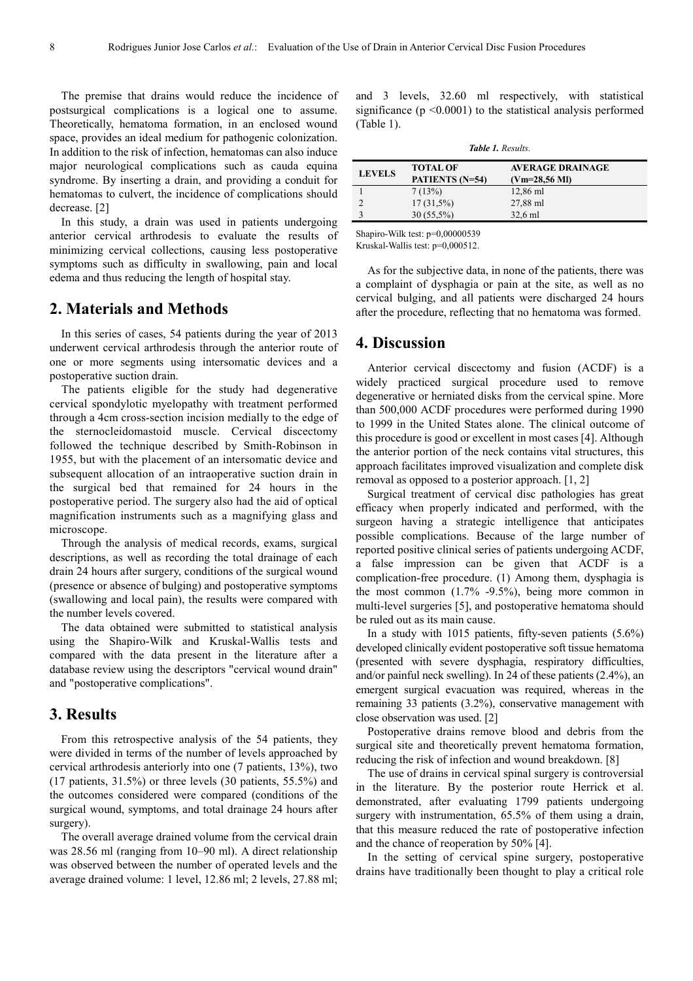The premise that drains would reduce the incidence of postsurgical complications is a logical one to assume. Theoretically, hematoma formation, in an enclosed wound space, provides an ideal medium for pathogenic colonization. In addition to the risk of infection, hematomas can also induce major neurological complications such as cauda equina syndrome. By inserting a drain, and providing a conduit for hematomas to culvert, the incidence of complications should decrease. [2]

In this study, a drain was used in patients undergoing anterior cervical arthrodesis to evaluate the results of minimizing cervical collections, causing less postoperative symptoms such as difficulty in swallowing, pain and local edema and thus reducing the length of hospital stay.

## **2. Materials and Methods**

In this series of cases, 54 patients during the year of 2013 underwent cervical arthrodesis through the anterior route of one or more segments using intersomatic devices and a postoperative suction drain.

The patients eligible for the study had degenerative cervical spondylotic myelopathy with treatment performed through a 4cm cross-section incision medially to the edge of the sternocleidomastoid muscle. Cervical discectomy followed the technique described by Smith-Robinson in 1955, but with the placement of an intersomatic device and subsequent allocation of an intraoperative suction drain in the surgical bed that remained for 24 hours in the postoperative period. The surgery also had the aid of optical magnification instruments such as a magnifying glass and microscope.

Through the analysis of medical records, exams, surgical descriptions, as well as recording the total drainage of each drain 24 hours after surgery, conditions of the surgical wound (presence or absence of bulging) and postoperative symptoms (swallowing and local pain), the results were compared with the number levels covered.

The data obtained were submitted to statistical analysis using the Shapiro-Wilk and Kruskal-Wallis tests and compared with the data present in the literature after a database review using the descriptors "cervical wound drain" and "postoperative complications".

## **3. Results**

From this retrospective analysis of the 54 patients, they were divided in terms of the number of levels approached by cervical arthrodesis anteriorly into one (7 patients, 13%), two (17 patients, 31.5%) or three levels (30 patients, 55.5%) and the outcomes considered were compared (conditions of the surgical wound, symptoms, and total drainage 24 hours after surgery).

The overall average drained volume from the cervical drain was 28.56 ml (ranging from 10–90 ml). A direct relationship was observed between the number of operated levels and the average drained volume: 1 level, 12.86 ml; 2 levels, 27.88 ml;

and 3 levels, 32.60 ml respectively, with statistical significance  $(p \le 0.0001)$  to the statistical analysis performed (Table 1).

| <b>Table 1.</b> Results. |                                           |                                                    |
|--------------------------|-------------------------------------------|----------------------------------------------------|
| <b>LEVELS</b>            | <b>TOTAL OF</b><br><b>PATIENTS</b> (N=54) | <b>AVERAGE DRAINAGE</b><br>$(Vm=28,56 \text{ MI})$ |
|                          | 7(13%)                                    | 12,86 ml                                           |
|                          | $17(31,5\%)$                              | 27,88 ml                                           |
|                          | $30(55,5\%)$                              | $32.6$ ml                                          |

Shapiro-Wilk test: p=0,00000539

Kruskal-Wallis test: p=0,000512.

As for the subjective data, in none of the patients, there was a complaint of dysphagia or pain at the site, as well as no cervical bulging, and all patients were discharged 24 hours after the procedure, reflecting that no hematoma was formed.

#### **4. Discussion**

Anterior cervical discectomy and fusion (ACDF) is a widely practiced surgical procedure used to remove degenerative or herniated disks from the cervical spine. More than 500,000 ACDF procedures were performed during 1990 to 1999 in the United States alone. The clinical outcome of this procedure is good or excellent in most cases [4]. Although the anterior portion of the neck contains vital structures, this approach facilitates improved visualization and complete disk removal as opposed to a posterior approach. [1, 2]

Surgical treatment of cervical disc pathologies has great efficacy when properly indicated and performed, with the surgeon having a strategic intelligence that anticipates possible complications. Because of the large number of reported positive clinical series of patients undergoing ACDF, a false impression can be given that ACDF is a complication-free procedure. (1) Among them, dysphagia is the most common (1.7% -9.5%), being more common in multi-level surgeries [5], and postoperative hematoma should be ruled out as its main cause.

In a study with 1015 patients, fifty-seven patients (5.6%) developed clinically evident postoperative soft tissue hematoma (presented with severe dysphagia, respiratory difficulties, and/or painful neck swelling). In 24 of these patients (2.4%), an emergent surgical evacuation was required, whereas in the remaining 33 patients (3.2%), conservative management with close observation was used. [2]

Postoperative drains remove blood and debris from the surgical site and theoretically prevent hematoma formation, reducing the risk of infection and wound breakdown. [8]

The use of drains in cervical spinal surgery is controversial in the literature. By the posterior route Herrick et al. demonstrated, after evaluating 1799 patients undergoing surgery with instrumentation, 65.5% of them using a drain, that this measure reduced the rate of postoperative infection and the chance of reoperation by 50% [4].

In the setting of cervical spine surgery, postoperative drains have traditionally been thought to play a critical role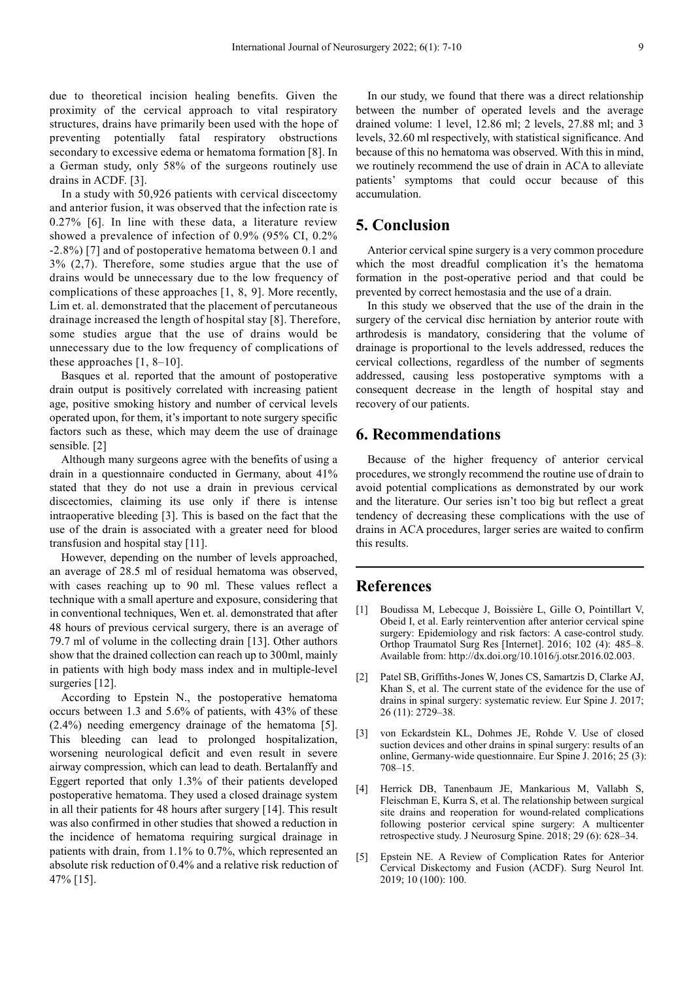due to theoretical incision healing benefits. Given the proximity of the cervical approach to vital respiratory structures, drains have primarily been used with the hope of preventing potentially fatal respiratory obstructions secondary to excessive edema or hematoma formation [8]. In a German study, only 58% of the surgeons routinely use drains in ACDF. [3].

In a study with 50,926 patients with cervical discectomy and anterior fusion, it was observed that the infection rate is 0.27% [6]. In line with these data, a literature review showed a prevalence of infection of 0.9% (95% CI, 0.2% -2.8%) [7] and of postoperative hematoma between 0.1 and 3% (2,7). Therefore, some studies argue that the use of drains would be unnecessary due to the low frequency of complications of these approaches [1, 8, 9]. More recently, Lim et. al. demonstrated that the placement of percutaneous drainage increased the length of hospital stay [8]. Therefore, some studies argue that the use of drains would be unnecessary due to the low frequency of complications of these approaches [1, 8–10].

Basques et al. reported that the amount of postoperative drain output is positively correlated with increasing patient age, positive smoking history and number of cervical levels operated upon, for them, it's important to note surgery specific factors such as these, which may deem the use of drainage sensible. [2]

Although many surgeons agree with the benefits of using a drain in a questionnaire conducted in Germany, about 41% stated that they do not use a drain in previous cervical discectomies, claiming its use only if there is intense intraoperative bleeding [3]. This is based on the fact that the use of the drain is associated with a greater need for blood transfusion and hospital stay [11].

However, depending on the number of levels approached, an average of 28.5 ml of residual hematoma was observed, with cases reaching up to 90 ml. These values reflect a technique with a small aperture and exposure, considering that in conventional techniques, Wen et. al. demonstrated that after 48 hours of previous cervical surgery, there is an average of 79.7 ml of volume in the collecting drain [13]. Other authors show that the drained collection can reach up to 300ml, mainly in patients with high body mass index and in multiple-level surgeries [12].

According to Epstein N., the postoperative hematoma occurs between 1.3 and 5.6% of patients, with 43% of these (2.4%) needing emergency drainage of the hematoma [5]. This bleeding can lead to prolonged hospitalization, worsening neurological deficit and even result in severe airway compression, which can lead to death. Bertalanffy and Eggert reported that only 1.3% of their patients developed postoperative hematoma. They used a closed drainage system in all their patients for 48 hours after surgery [14]. This result was also confirmed in other studies that showed a reduction in the incidence of hematoma requiring surgical drainage in patients with drain, from 1.1% to 0.7%, which represented an absolute risk reduction of 0.4% and a relative risk reduction of 47% [15].

In our study, we found that there was a direct relationship between the number of operated levels and the average drained volume: 1 level, 12.86 ml; 2 levels, 27.88 ml; and 3 levels, 32.60 ml respectively, with statistical significance. And because of this no hematoma was observed. With this in mind, we routinely recommend the use of drain in ACA to alleviate patients' symptoms that could occur because of this accumulation.

## **5. Conclusion**

Anterior cervical spine surgery is a very common procedure which the most dreadful complication it's the hematoma formation in the post-operative period and that could be prevented by correct hemostasia and the use of a drain.

In this study we observed that the use of the drain in the surgery of the cervical disc herniation by anterior route with arthrodesis is mandatory, considering that the volume of drainage is proportional to the levels addressed, reduces the cervical collections, regardless of the number of segments addressed, causing less postoperative symptoms with a consequent decrease in the length of hospital stay and recovery of our patients.

#### **6. Recommendations**

Because of the higher frequency of anterior cervical procedures, we strongly recommend the routine use of drain to avoid potential complications as demonstrated by our work and the literature. Our series isn't too big but reflect a great tendency of decreasing these complications with the use of drains in ACA procedures, larger series are waited to confirm this results.

## **References**

- [1] Boudissa M, Lebecque J, Boissière L, Gille O, Pointillart V, Obeid I, et al. Early reintervention after anterior cervical spine surgery: Epidemiology and risk factors: A case-control study. Orthop Traumatol Surg Res [Internet]. 2016; 102 (4): 485–8. Available from: http://dx.doi.org/10.1016/j.otsr.2016.02.003.
- [2] Patel SB, Griffiths-Jones W, Jones CS, Samartzis D, Clarke AJ, Khan S, et al. The current state of the evidence for the use of drains in spinal surgery: systematic review. Eur Spine J. 2017; 26 (11): 2729–38.
- [3] von Eckardstein KL, Dohmes JE, Rohde V. Use of closed suction devices and other drains in spinal surgery: results of an online, Germany-wide questionnaire. Eur Spine J. 2016; 25 (3): 708–15.
- [4] Herrick DB, Tanenbaum JE, Mankarious M, Vallabh S, Fleischman E, Kurra S, et al. The relationship between surgical site drains and reoperation for wound-related complications following posterior cervical spine surgery: A multicenter retrospective study. J Neurosurg Spine. 2018; 29 (6): 628–34.
- [5] Epstein NE. A Review of Complication Rates for Anterior Cervical Diskectomy and Fusion (ACDF). Surg Neurol Int. 2019; 10 (100): 100.